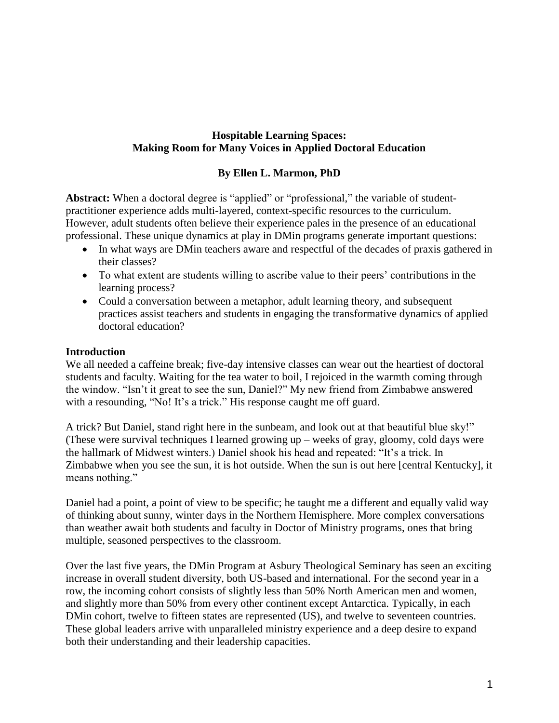#### **Hospitable Learning Spaces: Making Room for Many Voices in Applied Doctoral Education**

## **By Ellen L. Marmon, PhD**

**Abstract:** When a doctoral degree is "applied" or "professional," the variable of studentpractitioner experience adds multi-layered, context-specific resources to the curriculum. However, adult students often believe their experience pales in the presence of an educational professional. These unique dynamics at play in DMin programs generate important questions:

- In what ways are DM in teachers aware and respectful of the decades of praxis gathered in their classes?
- To what extent are students willing to ascribe value to their peers' contributions in the learning process?
- Could a conversation between a metaphor, adult learning theory, and subsequent practices assist teachers and students in engaging the transformative dynamics of applied doctoral education?

#### **Introduction**

We all needed a caffeine break; five-day intensive classes can wear out the heartiest of doctoral students and faculty. Waiting for the tea water to boil, I rejoiced in the warmth coming through the window. "Isn't it great to see the sun, Daniel?" My new friend from Zimbabwe answered with a resounding, "No! It's a trick." His response caught me off guard.

A trick? But Daniel, stand right here in the sunbeam, and look out at that beautiful blue sky!" (These were survival techniques I learned growing up – weeks of gray, gloomy, cold days were the hallmark of Midwest winters.) Daniel shook his head and repeated: "It's a trick. In Zimbabwe when you see the sun, it is hot outside. When the sun is out here [central Kentucky], it means nothing."

Daniel had a point, a point of view to be specific; he taught me a different and equally valid way of thinking about sunny, winter days in the Northern Hemisphere. More complex conversations than weather await both students and faculty in Doctor of Ministry programs, ones that bring multiple, seasoned perspectives to the classroom.

Over the last five years, the DMin Program at Asbury Theological Seminary has seen an exciting increase in overall student diversity, both US-based and international. For the second year in a row, the incoming cohort consists of slightly less than 50% North American men and women, and slightly more than 50% from every other continent except Antarctica. Typically, in each DMin cohort, twelve to fifteen states are represented (US), and twelve to seventeen countries. These global leaders arrive with unparalleled ministry experience and a deep desire to expand both their understanding and their leadership capacities.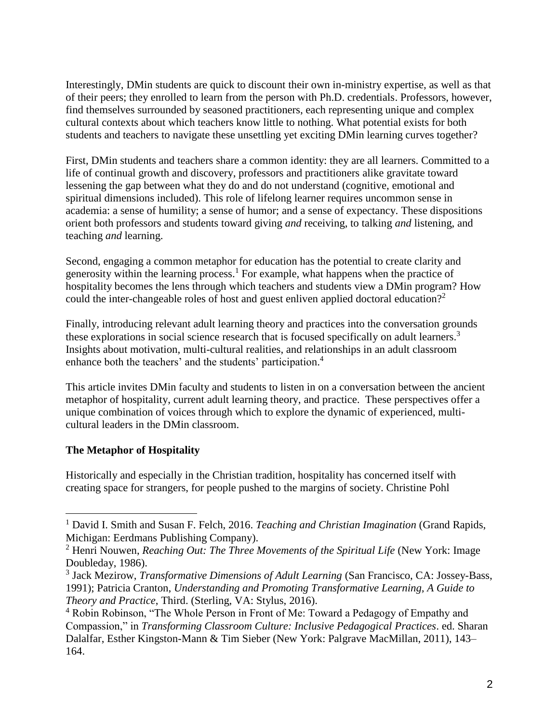Interestingly, DMin students are quick to discount their own in-ministry expertise, as well as that of their peers; they enrolled to learn from the person with Ph.D. credentials. Professors, however, find themselves surrounded by seasoned practitioners, each representing unique and complex cultural contexts about which teachers know little to nothing. What potential exists for both students and teachers to navigate these unsettling yet exciting DMin learning curves together?

First, DMin students and teachers share a common identity: they are all learners. Committed to a life of continual growth and discovery, professors and practitioners alike gravitate toward lessening the gap between what they do and do not understand (cognitive, emotional and spiritual dimensions included). This role of lifelong learner requires uncommon sense in academia: a sense of humility; a sense of humor; and a sense of expectancy. These dispositions orient both professors and students toward giving *and* receiving, to talking *and* listening, and teaching *and* learning.

Second, engaging a common metaphor for education has the potential to create clarity and generosity within the learning process. <sup>1</sup> For example, what happens when the practice of hospitality becomes the lens through which teachers and students view a DMin program? How could the inter-changeable roles of host and guest enliven applied doctoral education?<sup>2</sup>

Finally, introducing relevant adult learning theory and practices into the conversation grounds these explorations in social science research that is focused specifically on adult learners.<sup>3</sup> Insights about motivation, multi-cultural realities, and relationships in an adult classroom enhance both the teachers' and the students' participation.<sup>4</sup>

This article invites DMin faculty and students to listen in on a conversation between the ancient metaphor of hospitality, current adult learning theory, and practice. These perspectives offer a unique combination of voices through which to explore the dynamic of experienced, multicultural leaders in the DMin classroom.

### **The Metaphor of Hospitality**

 $\overline{a}$ 

Historically and especially in the Christian tradition, hospitality has concerned itself with creating space for strangers, for people pushed to the margins of society. Christine Pohl

<sup>1</sup> David I. Smith and Susan F. Felch, 2016. *Teaching and Christian Imagination* (Grand Rapids, Michigan: Eerdmans Publishing Company).

<sup>2</sup> Henri Nouwen, *Reaching Out: The Three Movements of the Spiritual Life* (New York: Image Doubleday, 1986).

<sup>3</sup> Jack Mezirow, *Transformative Dimensions of Adult Learning* (San Francisco, CA: Jossey-Bass, 1991); Patricia Cranton, *Understanding and Promoting Transformative Learning, A Guide to Theory and Practice*, Third. (Sterling, VA: Stylus, 2016).

<sup>4</sup> Robin Robinson, "The Whole Person in Front of Me: Toward a Pedagogy of Empathy and Compassion," in *Transforming Classroom Culture: Inclusive Pedagogical Practices*. ed. Sharan Dalalfar, Esther Kingston-Mann & Tim Sieber (New York: Palgrave MacMillan, 2011), 143– 164.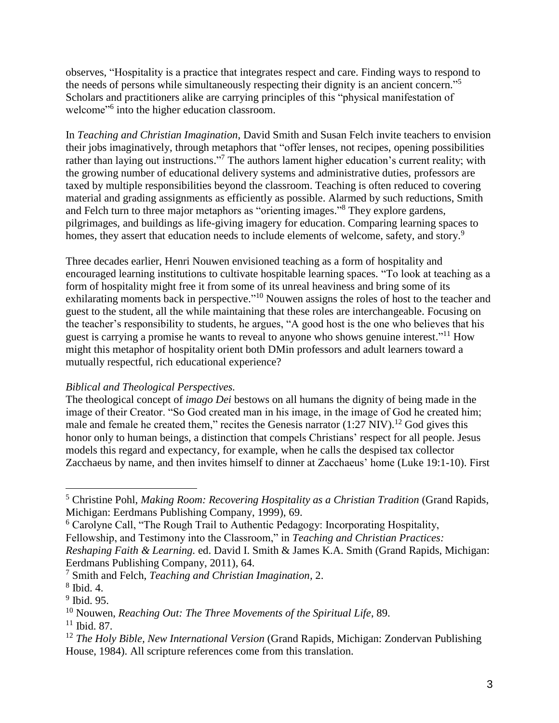observes, "Hospitality is a practice that integrates respect and care. Finding ways to respond to the needs of persons while simultaneously respecting their dignity is an ancient concern." 5 Scholars and practitioners alike are carrying principles of this "physical manifestation of welcome"<sup>6</sup> into the higher education classroom.

In *Teaching and Christian Imagination*, David Smith and Susan Felch invite teachers to envision their jobs imaginatively, through metaphors that "offer lenses, not recipes, opening possibilities rather than laying out instructions."<sup>7</sup> The authors lament higher education's current reality; with the growing number of educational delivery systems and administrative duties, professors are taxed by multiple responsibilities beyond the classroom. Teaching is often reduced to covering material and grading assignments as efficiently as possible. Alarmed by such reductions, Smith and Felch turn to three major metaphors as "orienting images." <sup>8</sup> They explore gardens, pilgrimages, and buildings as life-giving imagery for education. Comparing learning spaces to homes, they assert that education needs to include elements of welcome, safety, and story.<sup>9</sup>

Three decades earlier, Henri Nouwen envisioned teaching as a form of hospitality and encouraged learning institutions to cultivate hospitable learning spaces. "To look at teaching as a form of hospitality might free it from some of its unreal heaviness and bring some of its exhilarating moments back in perspective."<sup>10</sup> Nouwen assigns the roles of host to the teacher and guest to the student, all the while maintaining that these roles are interchangeable. Focusing on the teacher's responsibility to students, he argues, "A good host is the one who believes that his guest is carrying a promise he wants to reveal to anyone who shows genuine interest."<sup>11</sup> How might this metaphor of hospitality orient both DMin professors and adult learners toward a mutually respectful, rich educational experience?

### *Biblical and Theological Perspectives.*

The theological concept of *imago Dei* bestows on all humans the dignity of being made in the image of their Creator. "So God created man in his image, in the image of God he created him; male and female he created them," recites the Genesis narrator  $(1:27 \text{ NIV})$ .<sup>12</sup> God gives this honor only to human beings, a distinction that compels Christians' respect for all people. Jesus models this regard and expectancy, for example, when he calls the despised tax collector Zacchaeus by name, and then invites himself to dinner at Zacchaeus' home (Luke 19:1-10). First

 $\overline{a}$ 

<sup>5</sup> Christine Pohl, *Making Room: Recovering Hospitality as a Christian Tradition* (Grand Rapids, Michigan: Eerdmans Publishing Company, 1999), 69.

<sup>6</sup> Carolyne Call, "The Rough Trail to Authentic Pedagogy: Incorporating Hospitality, Fellowship, and Testimony into the Classroom," in *Teaching and Christian Practices:* 

*Reshaping Faith & Learning.* ed. David I. Smith & James K.A. Smith (Grand Rapids, Michigan: Eerdmans Publishing Company, 2011), 64.

<sup>7</sup> Smith and Felch, *Teaching and Christian Imagination,* 2.

<sup>8</sup> Ibid. 4.

<sup>9</sup> Ibid. 95.

<sup>10</sup> Nouwen, *Reaching Out: The Three Movements of the Spiritual Life*, 89.

 $11$  Ibid. 87.

<sup>12</sup> *The Holy Bible, New International Version* (Grand Rapids, Michigan: Zondervan Publishing House, 1984). All scripture references come from this translation.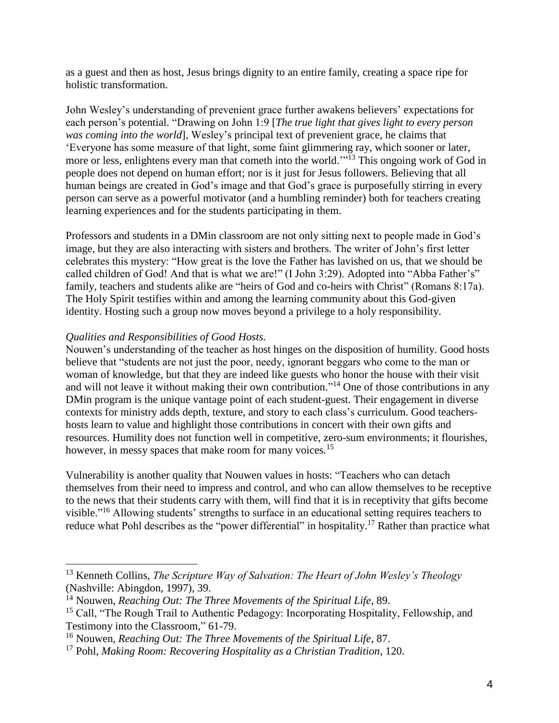as a guest and then as host, Jesus brings dignity to an entire family, creating a space ripe for holistic transformation.

John Wesley's understanding of prevenient grace further awakens believers' expectations for each person's potential. "Drawing on John 1:9 [*The true light that gives light to every person was coming into the world*], Wesley's principal text of prevenient grace, he claims that 'Everyone has some measure of that light, some faint glimmering ray, which sooner or later, more or less, enlightens every man that cometh into the world."<sup>13</sup> This ongoing work of God in people does not depend on human effort; nor is it just for Jesus followers. Believing that all human beings are created in God's image and that God's grace is purposefully stirring in every person can serve as a powerful motivator (and a humbling reminder) both for teachers creating learning experiences and for the students participating in them.

Professors and students in a DMin classroom are not only sitting next to people made in God's image, but they are also interacting with sisters and brothers. The writer of John's first letter celebrates this mystery: "How great is the love the Father has lavished on us, that we should be called children of God! And that is what we are!" (I John 3:29). Adopted into "Abba Father's" family, teachers and students alike are "heirs of God and co-heirs with Christ" (Romans 8:17a). The Holy Spirit testifies within and among the learning community about this God-given identity. Hosting such a group now moves beyond a privilege to a holy responsibility.

### *Qualities and Responsibilities of Good Hosts.*

 $\overline{a}$ 

Nouwen's understanding of the teacher as host hinges on the disposition of humility. Good hosts believe that "students are not just the poor, needy, ignorant beggars who come to the man or woman of knowledge, but that they are indeed like guests who honor the house with their visit and will not leave it without making their own contribution."<sup>14</sup> One of those contributions in any DMin program is the unique vantage point of each student-guest. Their engagement in diverse contexts for ministry adds depth, texture, and story to each class's curriculum. Good teachershosts learn to value and highlight those contributions in concert with their own gifts and resources. Humility does not function well in competitive, zero-sum environments; it flourishes, however, in messy spaces that make room for many voices.<sup>15</sup>

Vulnerability is another quality that Nouwen values in hosts: "Teachers who can detach themselves from their need to impress and control, and who can allow themselves to be receptive to the news that their students carry with them, will find that it is in receptivity that gifts become visible."<sup>16</sup> Allowing students' strengths to surface in an educational setting requires teachers to reduce what Pohl describes as the "power differential" in hospitality.<sup>17</sup> Rather than practice what

<sup>13</sup> Kenneth Collins, *The Scripture Way of Salvation: The Heart of John Wesley's Theology* (Nashville: Abingdon, 1997), 39.

<sup>14</sup> Nouwen, *Reaching Out: The Three Movements of the Spiritual Life*, 89.

<sup>&</sup>lt;sup>15</sup> Call, "The Rough Trail to Authentic Pedagogy: Incorporating Hospitality, Fellowship, and Testimony into the Classroom," 61-79.

<sup>16</sup> Nouwen, *Reaching Out: The Three Movements of the Spiritual Life*, 87.

<sup>17</sup> Pohl, *Making Room: Recovering Hospitality as a Christian Tradition*, 120.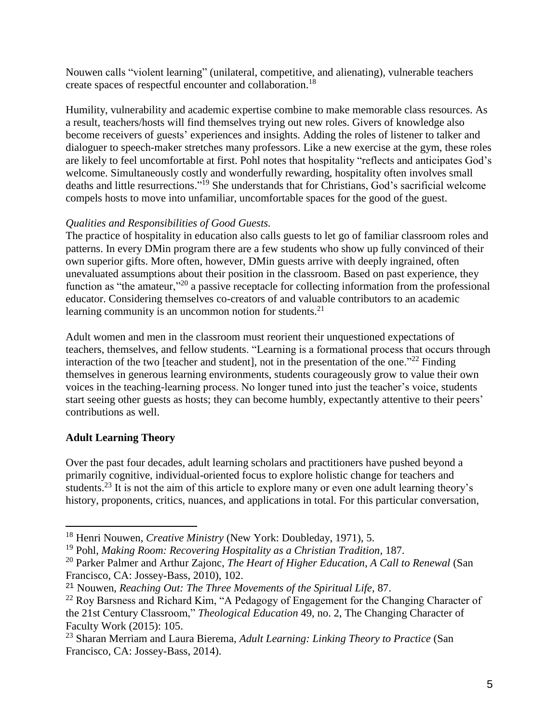Nouwen calls "violent learning" (unilateral, competitive, and alienating), vulnerable teachers create spaces of respectful encounter and collaboration.<sup>18</sup>

Humility, vulnerability and academic expertise combine to make memorable class resources. As a result, teachers/hosts will find themselves trying out new roles. Givers of knowledge also become receivers of guests' experiences and insights. Adding the roles of listener to talker and dialoguer to speech-maker stretches many professors. Like a new exercise at the gym, these roles are likely to feel uncomfortable at first. Pohl notes that hospitality "reflects and anticipates God's welcome. Simultaneously costly and wonderfully rewarding, hospitality often involves small deaths and little resurrections." <sup>19</sup> She understands that for Christians, God's sacrificial welcome compels hosts to move into unfamiliar, uncomfortable spaces for the good of the guest.

## *Qualities and Responsibilities of Good Guests.*

The practice of hospitality in education also calls guests to let go of familiar classroom roles and patterns. In every DMin program there are a few students who show up fully convinced of their own superior gifts. More often, however, DMin guests arrive with deeply ingrained, often unevaluated assumptions about their position in the classroom. Based on past experience, they function as "the amateur,"<sup>20</sup> a passive receptacle for collecting information from the professional educator. Considering themselves co-creators of and valuable contributors to an academic learning community is an uncommon notion for students.<sup>21</sup>

Adult women and men in the classroom must reorient their unquestioned expectations of teachers, themselves, and fellow students. "Learning is a formational process that occurs through interaction of the two [teacher and student], not in the presentation of the one."<sup>22</sup> Finding themselves in generous learning environments, students courageously grow to value their own voices in the teaching-learning process. No longer tuned into just the teacher's voice, students start seeing other guests as hosts; they can become humbly, expectantly attentive to their peers' contributions as well.

# **Adult Learning Theory**

 $\overline{a}$ 

Over the past four decades, adult learning scholars and practitioners have pushed beyond a primarily cognitive, individual-oriented focus to explore holistic change for teachers and students.<sup>23</sup> It is not the aim of this article to explore many or even one adult learning theory's history, proponents, critics, nuances, and applications in total. For this particular conversation,

<sup>18</sup> Henri Nouwen, *Creative Ministry* (New York: Doubleday, 1971), 5.

<sup>19</sup> Pohl, *Making Room: Recovering Hospitality as a Christian Tradition*, 187.

<sup>20</sup> Parker Palmer and Arthur Zajonc, *The Heart of Higher Education, A Call to Renewal* (San Francisco, CA: Jossey-Bass, 2010), 102.

<sup>21</sup> Nouwen, *Reaching Out: The Three Movements of the Spiritual Life*, 87.

 $^{22}$  Roy Barsness and Richard Kim, "A Pedagogy of Engagement for the Changing Character of the 21st Century Classroom," *Theological Education* 49, no. 2, The Changing Character of Faculty Work (2015): 105.

<sup>23</sup> Sharan Merriam and Laura Bierema, *Adult Learning: Linking Theory to Practice* (San Francisco, CA: Jossey-Bass, 2014).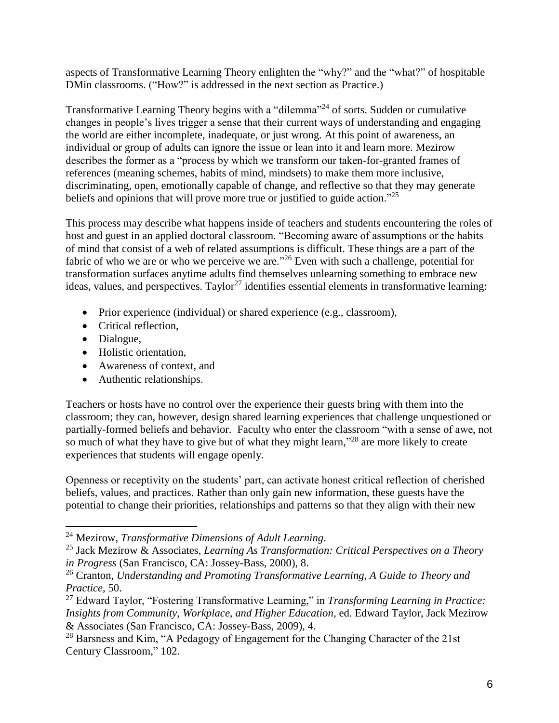aspects of Transformative Learning Theory enlighten the "why?" and the "what?" of hospitable DMin classrooms. ("How?" is addressed in the next section as Practice.)

Transformative Learning Theory begins with a "dilemma"<sup>24</sup> of sorts. Sudden or cumulative changes in people's lives trigger a sense that their current ways of understanding and engaging the world are either incomplete, inadequate, or just wrong. At this point of awareness, an individual or group of adults can ignore the issue or lean into it and learn more. Mezirow describes the former as a "process by which we transform our taken-for-granted frames of references (meaning schemes, habits of mind, mindsets) to make them more inclusive, discriminating, open, emotionally capable of change, and reflective so that they may generate beliefs and opinions that will prove more true or justified to guide action."<sup>25</sup>

This process may describe what happens inside of teachers and students encountering the roles of host and guest in an applied doctoral classroom. "Becoming aware of assumptions or the habits of mind that consist of a web of related assumptions is difficult. These things are a part of the fabric of who we are or who we perceive we are."<sup>26</sup> Even with such a challenge, potential for transformation surfaces anytime adults find themselves unlearning something to embrace new ideas, values, and perspectives. Taylor<sup>27</sup> identifies essential elements in transformative learning:

- Prior experience (individual) or shared experience (e.g., classroom),
- Critical reflection,
- Dialogue,

 $\overline{a}$ 

- Holistic orientation.
- Awareness of context, and
- Authentic relationships.

Teachers or hosts have no control over the experience their guests bring with them into the classroom; they can, however, design shared learning experiences that challenge unquestioned or partially-formed beliefs and behavior. Faculty who enter the classroom "with a sense of awe, not so much of what they have to give but of what they might learn,"<sup>28</sup> are more likely to create experiences that students will engage openly.

Openness or receptivity on the students' part, can activate honest critical reflection of cherished beliefs, values, and practices. Rather than only gain new information, these guests have the potential to change their priorities, relationships and patterns so that they align with their new

<sup>24</sup> Mezirow, *Transformative Dimensions of Adult Learning*.

<sup>25</sup> Jack Mezirow & Associates, *Learning As Transformation: Critical Perspectives on a Theory in Progress* (San Francisco, CA: Jossey-Bass, 2000), 8.

<sup>26</sup> Cranton, *Understanding and Promoting Transformative Learning, A Guide to Theory and Practice*, 50.

<sup>27</sup> Edward Taylor, "Fostering Transformative Learning," in *Transforming Learning in Practice: Insights from Community, Workplace, and Higher Education*, ed. Edward Taylor, Jack Mezirow & Associates (San Francisco, CA: Jossey-Bass, 2009), 4.

<sup>&</sup>lt;sup>28</sup> Barsness and Kim, "A Pedagogy of Engagement for the Changing Character of the 21st Century Classroom," 102.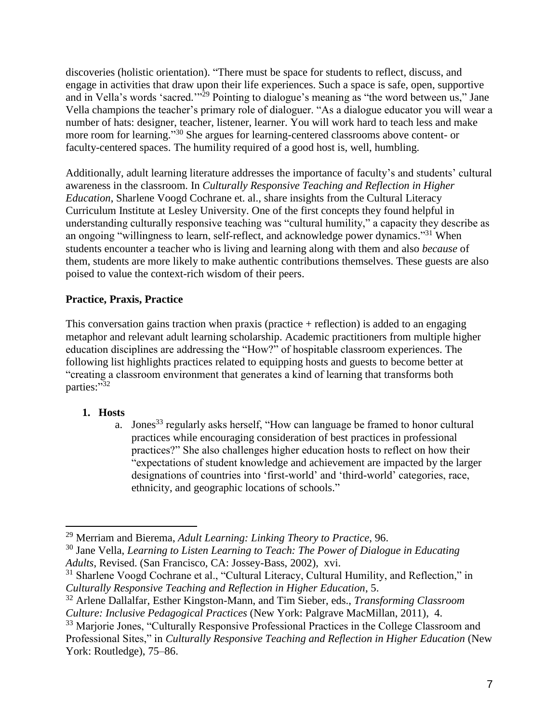discoveries (holistic orientation). "There must be space for students to reflect, discuss, and engage in activities that draw upon their life experiences. Such a space is safe, open, supportive and in Vella's words 'sacred.'" <sup>29</sup> Pointing to dialogue's meaning as "the word between us," Jane Vella champions the teacher's primary role of dialoguer. "As a dialogue educator you will wear a number of hats: designer, teacher, listener, learner. You will work hard to teach less and make more room for learning."<sup>30</sup> She argues for learning-centered classrooms above content- or faculty-centered spaces. The humility required of a good host is, well, humbling.

Additionally, adult learning literature addresses the importance of faculty's and students' cultural awareness in the classroom. In *Culturally Responsive Teaching and Reflection in Higher Education*, Sharlene Voogd Cochrane et. al., share insights from the Cultural Literacy Curriculum Institute at Lesley University. One of the first concepts they found helpful in understanding culturally responsive teaching was "cultural humility," a capacity they describe as an ongoing "willingness to learn, self-reflect, and acknowledge power dynamics."<sup>31</sup> When students encounter a teacher who is living and learning along with them and also *because* of them, students are more likely to make authentic contributions themselves. These guests are also poised to value the context-rich wisdom of their peers.

# **Practice, Praxis, Practice**

This conversation gains traction when praxis (practice  $+$  reflection) is added to an engaging metaphor and relevant adult learning scholarship. Academic practitioners from multiple higher education disciplines are addressing the "How?" of hospitable classroom experiences. The following list highlights practices related to equipping hosts and guests to become better at "creating a classroom environment that generates a kind of learning that transforms both parties:"32

### **1. Hosts**

a. Jones<sup>33</sup> regularly asks herself, "How can language be framed to honor cultural practices while encouraging consideration of best practices in professional practices?" She also challenges higher education hosts to reflect on how their "expectations of student knowledge and achievement are impacted by the larger designations of countries into 'first-world' and 'third-world' categories, race, ethnicity, and geographic locations of schools."

 $\overline{a}$ <sup>29</sup> Merriam and Bierema, *Adult Learning: Linking Theory to Practice*, 96.

<sup>30</sup> Jane Vella, *Learning to Listen Learning to Teach: The Power of Dialogue in Educating Adults*, Revised. (San Francisco, CA: Jossey-Bass, 2002), xvi.

<sup>&</sup>lt;sup>31</sup> Sharlene Voogd Cochrane et al., "Cultural Literacy, Cultural Humility, and Reflection," in *Culturally Responsive Teaching and Reflection in Higher Education*, 5.

<sup>32</sup> Arlene Dallalfar, Esther Kingston-Mann, and Tim Sieber, eds., *Transforming Classroom Culture: Inclusive Pedagogical Practices* (New York: Palgrave MacMillan, 2011), 4.

<sup>&</sup>lt;sup>33</sup> Marjorie Jones, "Culturally Responsive Professional Practices in the College Classroom and Professional Sites," in *Culturally Responsive Teaching and Reflection in Higher Education* (New York: Routledge), 75–86.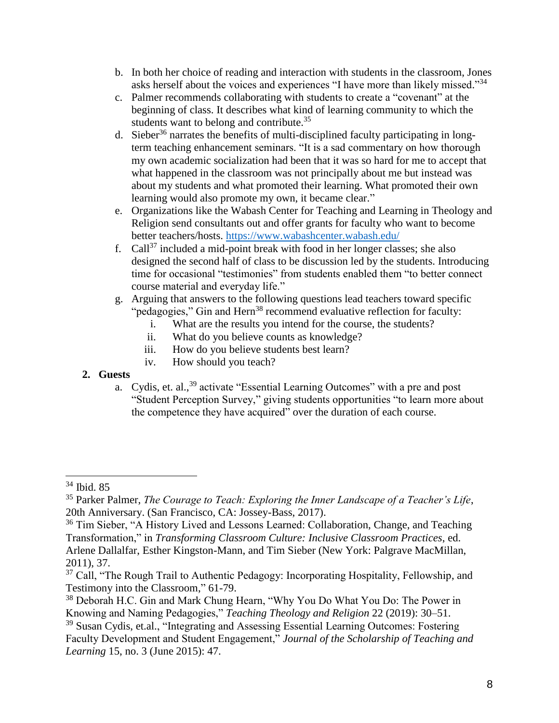- b. In both her choice of reading and interaction with students in the classroom, Jones asks herself about the voices and experiences "I have more than likely missed."<sup>34</sup>
- c. Palmer recommends collaborating with students to create a "covenant" at the beginning of class. It describes what kind of learning community to which the students want to belong and contribute.<sup>35</sup>
- d. Sieber<sup>36</sup> narrates the benefits of multi-disciplined faculty participating in longterm teaching enhancement seminars. "It is a sad commentary on how thorough my own academic socialization had been that it was so hard for me to accept that what happened in the classroom was not principally about me but instead was about my students and what promoted their learning. What promoted their own learning would also promote my own, it became clear."
- e. Organizations like the Wabash Center for Teaching and Learning in Theology and Religion send consultants out and offer grants for faculty who want to become better teachers/hosts.<https://www.wabashcenter.wabash.edu/>
- f. Call<sup>37</sup> included a mid-point break with food in her longer classes; she also designed the second half of class to be discussion led by the students. Introducing time for occasional "testimonies" from students enabled them "to better connect course material and everyday life."
- g. Arguing that answers to the following questions lead teachers toward specific "pedagogies," Gin and Hern<sup>38</sup> recommend evaluative reflection for faculty:
	- i. What are the results you intend for the course, the students?
	- ii. What do you believe counts as knowledge?
	- iii. How do you believe students best learn?
	- iv. How should you teach?

### **2. Guests**

a. Cydis, et. al.,  $39$  activate "Essential Learning Outcomes" with a pre and post "Student Perception Survey," giving students opportunities "to learn more about the competence they have acquired" over the duration of each course.

 $\overline{a}$ <sup>34</sup> Ibid. 85

<sup>35</sup> Parker Palmer, *The Courage to Teach: Exploring the Inner Landscape of a Teacher's Life*, 20th Anniversary. (San Francisco, CA: Jossey-Bass, 2017).

<sup>&</sup>lt;sup>36</sup> Tim Sieber, "A History Lived and Lessons Learned: Collaboration, Change, and Teaching Transformation," in *Transforming Classroom Culture: Inclusive Classroom Practices*, ed. Arlene Dallalfar, Esther Kingston-Mann, and Tim Sieber (New York: Palgrave MacMillan, 2011), 37.

<sup>&</sup>lt;sup>37</sup> Call, "The Rough Trail to Authentic Pedagogy: Incorporating Hospitality, Fellowship, and Testimony into the Classroom," 61-79.

<sup>&</sup>lt;sup>38</sup> Deborah H.C. Gin and Mark Chung Hearn, "Why You Do What You Do: The Power in Knowing and Naming Pedagogies," *Teaching Theology and Religion* 22 (2019): 30–51.

<sup>&</sup>lt;sup>39</sup> Susan Cydis, et.al., "Integrating and Assessing Essential Learning Outcomes: Fostering Faculty Development and Student Engagement," *Journal of the Scholarship of Teaching and Learning* 15, no. 3 (June 2015): 47.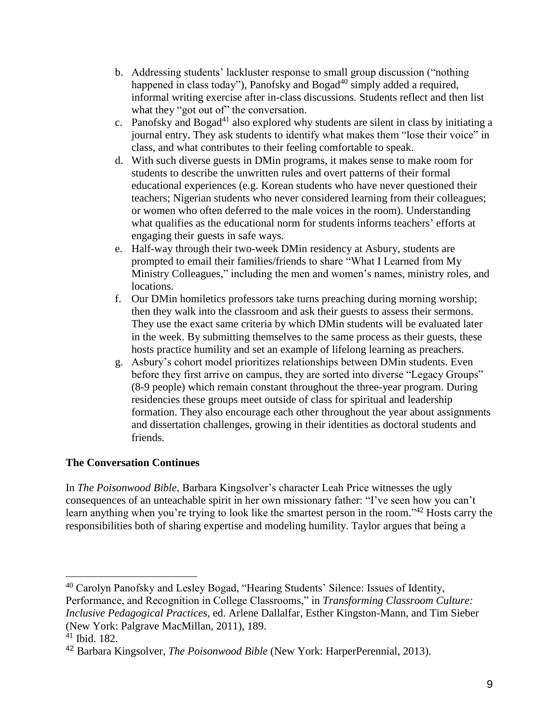- b. Addressing students' lackluster response to small group discussion ("nothing happened in class today"), Panofsky and Bogad<sup>40</sup> simply added a required, informal writing exercise after in-class discussions. Students reflect and then list what they "got out of" the conversation.
- c. Panofsky and Bogad<sup>41</sup> also explored why students are silent in class by initiating a journal entry. They ask students to identify what makes them "lose their voice" in class, and what contributes to their feeling comfortable to speak.
- d. With such diverse guests in DMin programs, it makes sense to make room for students to describe the unwritten rules and overt patterns of their formal educational experiences (e.g. Korean students who have never questioned their teachers; Nigerian students who never considered learning from their colleagues; or women who often deferred to the male voices in the room). Understanding what qualifies as the educational norm for students informs teachers' efforts at engaging their guests in safe ways.
- e. Half-way through their two-week DMin residency at Asbury, students are prompted to email their families/friends to share "What I Learned from My Ministry Colleagues," including the men and women's names, ministry roles, and locations.
- f. Our DMin homiletics professors take turns preaching during morning worship; then they walk into the classroom and ask their guests to assess their sermons. They use the exact same criteria by which DMin students will be evaluated later in the week. By submitting themselves to the same process as their guests, these hosts practice humility and set an example of lifelong learning as preachers.
- g. Asbury's cohort model prioritizes relationships between DMin students. Even before they first arrive on campus, they are sorted into diverse "Legacy Groups" (8-9 people) which remain constant throughout the three-year program. During residencies these groups meet outside of class for spiritual and leadership formation. They also encourage each other throughout the year about assignments and dissertation challenges, growing in their identities as doctoral students and friends.

# **The Conversation Continues**

In *The Poisonwood Bible*, Barbara Kingsolver's character Leah Price witnesses the ugly consequences of an unteachable spirit in her own missionary father: "I've seen how you can't learn anything when you're trying to look like the smartest person in the room."<sup>42</sup> Hosts carry the responsibilities both of sharing expertise and modeling humility. Taylor argues that being a

 $\overline{a}$ <sup>40</sup> Carolyn Panofsky and Lesley Bogad, "Hearing Students' Silence: Issues of Identity, Performance, and Recognition in College Classrooms," in *Transforming Classroom Culture: Inclusive Pedagogical Practices*, ed. Arlene Dallalfar, Esther Kingston-Mann, and Tim Sieber (New York: Palgrave MacMillan, 2011), 189.

<sup>41</sup> Ibid. 182.

<sup>42</sup> Barbara Kingsolver, *The Poisonwood Bible* (New York: HarperPerennial, 2013).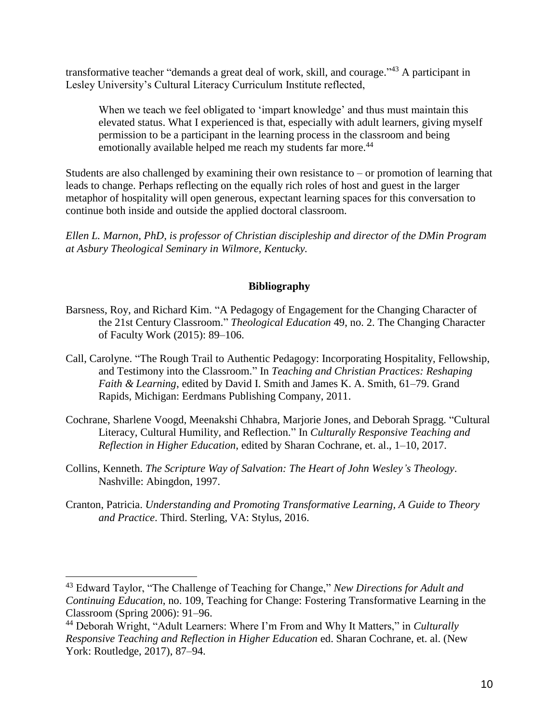transformative teacher "demands a great deal of work, skill, and courage."<sup>43</sup> A participant in Lesley University's Cultural Literacy Curriculum Institute reflected,

When we teach we feel obligated to 'impart knowledge' and thus must maintain this elevated status. What I experienced is that, especially with adult learners, giving myself permission to be a participant in the learning process in the classroom and being emotionally available helped me reach my students far more.<sup>44</sup>

Students are also challenged by examining their own resistance to  $-$  or promotion of learning that leads to change. Perhaps reflecting on the equally rich roles of host and guest in the larger metaphor of hospitality will open generous, expectant learning spaces for this conversation to continue both inside and outside the applied doctoral classroom.

*Ellen L. Marnon, PhD, is professor of Christian discipleship and director of the DMin Program at Asbury Theological Seminary in Wilmore, Kentucky.*

#### **Bibliography**

- Barsness, Roy, and Richard Kim. "A Pedagogy of Engagement for the Changing Character of the 21st Century Classroom." *Theological Education* 49, no. 2. The Changing Character of Faculty Work (2015): 89–106.
- Call, Carolyne. "The Rough Trail to Authentic Pedagogy: Incorporating Hospitality, Fellowship, and Testimony into the Classroom." In *Teaching and Christian Practices: Reshaping Faith & Learning*, edited by David I. Smith and James K. A. Smith, 61–79. Grand Rapids, Michigan: Eerdmans Publishing Company, 2011.
- Cochrane, Sharlene Voogd, Meenakshi Chhabra, Marjorie Jones, and Deborah Spragg. "Cultural Literacy, Cultural Humility, and Reflection." In *Culturally Responsive Teaching and Reflection in Higher Education*, edited by Sharan Cochrane, et. al., 1–10, 2017.
- Collins, Kenneth. *The Scripture Way of Salvation: The Heart of John Wesley's Theology*. Nashville: Abingdon, 1997.
- Cranton, Patricia. *Understanding and Promoting Transformative Learning, A Guide to Theory and Practice*. Third. Sterling, VA: Stylus, 2016.

 $\overline{a}$ 

<sup>43</sup> Edward Taylor, "The Challenge of Teaching for Change," *New Directions for Adult and Continuing Education*, no. 109, Teaching for Change: Fostering Transformative Learning in the Classroom (Spring 2006): 91–96.

<sup>44</sup> Deborah Wright, "Adult Learners: Where I'm From and Why It Matters," in *Culturally Responsive Teaching and Reflection in Higher Education* ed. Sharan Cochrane, et. al. (New York: Routledge, 2017), 87–94.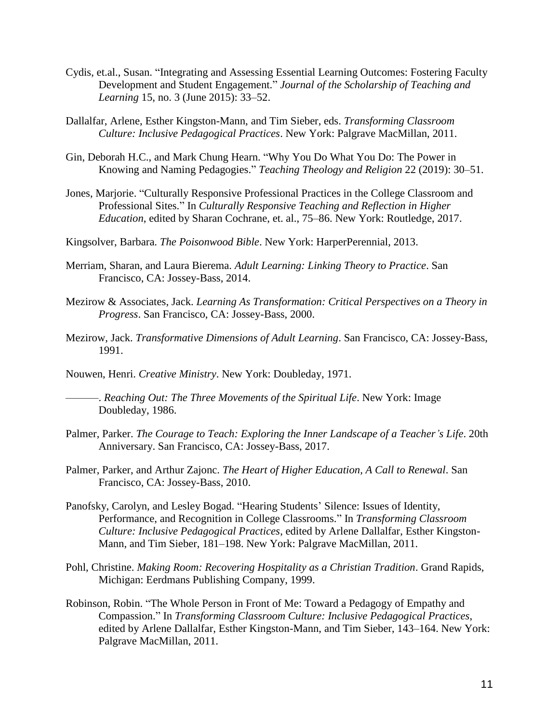- Cydis, et.al., Susan. "Integrating and Assessing Essential Learning Outcomes: Fostering Faculty Development and Student Engagement." *Journal of the Scholarship of Teaching and Learning* 15, no. 3 (June 2015): 33–52.
- Dallalfar, Arlene, Esther Kingston-Mann, and Tim Sieber, eds. *Transforming Classroom Culture: Inclusive Pedagogical Practices*. New York: Palgrave MacMillan, 2011.
- Gin, Deborah H.C., and Mark Chung Hearn. "Why You Do What You Do: The Power in Knowing and Naming Pedagogies." *Teaching Theology and Religion* 22 (2019): 30–51.
- Jones, Marjorie. "Culturally Responsive Professional Practices in the College Classroom and Professional Sites." In *Culturally Responsive Teaching and Reflection in Higher Education*, edited by Sharan Cochrane, et. al., 75–86. New York: Routledge, 2017.
- Kingsolver, Barbara. *The Poisonwood Bible*. New York: HarperPerennial, 2013.
- Merriam, Sharan, and Laura Bierema. *Adult Learning: Linking Theory to Practice*. San Francisco, CA: Jossey-Bass, 2014.
- Mezirow & Associates, Jack. *Learning As Transformation: Critical Perspectives on a Theory in Progress*. San Francisco, CA: Jossey-Bass, 2000.
- Mezirow, Jack. *Transformative Dimensions of Adult Learning*. San Francisco, CA: Jossey-Bass, 1991.
- Nouwen, Henri. *Creative Ministry*. New York: Doubleday, 1971.
	- ———. *Reaching Out: The Three Movements of the Spiritual Life*. New York: Image Doubleday, 1986.
- Palmer, Parker. *The Courage to Teach: Exploring the Inner Landscape of a Teacher's Life*. 20th Anniversary. San Francisco, CA: Jossey-Bass, 2017.
- Palmer, Parker, and Arthur Zajonc. *The Heart of Higher Education, A Call to Renewal*. San Francisco, CA: Jossey-Bass, 2010.
- Panofsky, Carolyn, and Lesley Bogad. "Hearing Students' Silence: Issues of Identity, Performance, and Recognition in College Classrooms." In *Transforming Classroom Culture: Inclusive Pedagogical Practices*, edited by Arlene Dallalfar, Esther Kingston-Mann, and Tim Sieber, 181–198. New York: Palgrave MacMillan, 2011.
- Pohl, Christine. *Making Room: Recovering Hospitality as a Christian Tradition*. Grand Rapids, Michigan: Eerdmans Publishing Company, 1999.
- Robinson, Robin. "The Whole Person in Front of Me: Toward a Pedagogy of Empathy and Compassion." In *Transforming Classroom Culture: Inclusive Pedagogical Practices*, edited by Arlene Dallalfar, Esther Kingston-Mann, and Tim Sieber, 143–164. New York: Palgrave MacMillan, 2011.